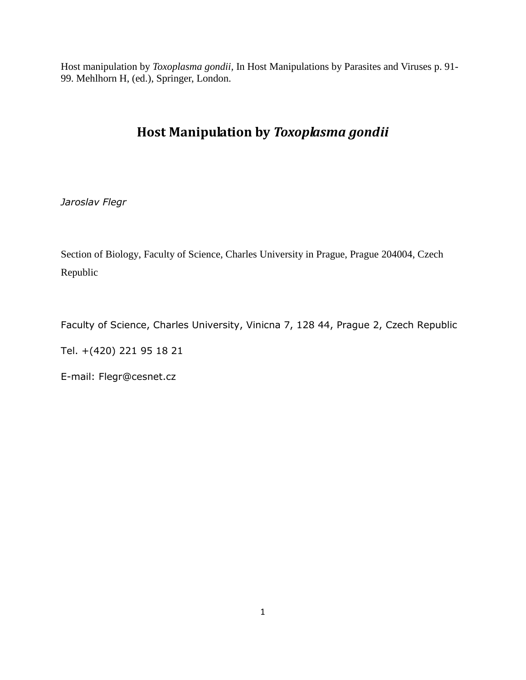Host manipulation by *Toxoplasma gondii,* In Host Manipulations by Parasites and Viruses p. 91- 99. Mehlhorn H, (ed.), Springer, London.

## **Host Manipulation by** *Toxoplasma gondii*

*Jaroslav Flegr*

Section of Biology, Faculty of Science, Charles University in Prague, Prague 204004, Czech Republic

Faculty of Science, Charles University, Vinicna 7, 128 44, Prague 2, Czech Republic

Tel. +(420) 221 95 18 21

E-mail: Flegr@cesnet.cz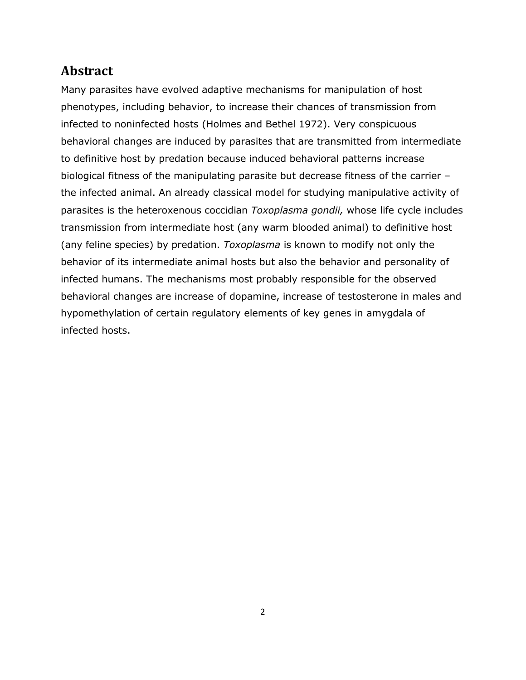## **Abstract**

Many parasites have evolved adaptive mechanisms for manipulation of host phenotypes, including behavior, to increase their chances of transmission from infected to noninfected hosts [\(Holmes and Bethel 1972\)](#page-11-0). Very conspicuous behavioral changes are induced by parasites that are transmitted from intermediate to definitive host by predation because induced behavioral patterns increase biological fitness of the manipulating parasite but decrease fitness of the carrier – the infected animal. An already classical model for studying manipulative activity of parasites is the heteroxenous coccidian *Toxoplasma gondii,* whose life cycle includes transmission from intermediate host (any warm blooded animal) to definitive host (any feline species) by predation. *Toxoplasma* is known to modify not only the behavior of its intermediate animal hosts but also the behavior and personality of infected humans. The mechanisms most probably responsible for the observed behavioral changes are increase of dopamine, increase of testosterone in males and hypomethylation of certain regulatory elements of key genes in amygdala of infected hosts.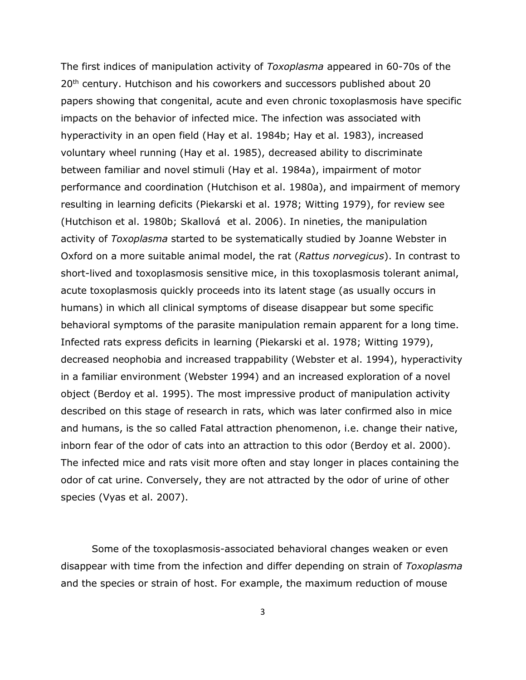The first indices of manipulation activity of *Toxoplasma* appeared in 60-70s of the 20<sup>th</sup> century. Hutchison and his coworkers and successors published about 20 papers showing that congenital, acute and even chronic toxoplasmosis have specific impacts on the behavior of infected mice. The infection was associated with hyperactivity in an open field [\(Hay et al. 1984b;](#page-11-1) [Hay et al. 1983\)](#page-11-2), increased voluntary wheel running [\(Hay et al. 1985\)](#page-10-0), decreased ability to discriminate between familiar and novel stimuli [\(Hay et al. 1984a\)](#page-11-3), impairment of motor performance and coordination [\(Hutchison et al. 1980a\)](#page-11-4), and impairment of memory resulting in learning deficits [\(Piekarski et al. 1978;](#page-12-0) [Witting 1979\)](#page-12-1), for review see [\(Hutchison et al. 1980b;](#page-11-5) Skallová [et al. 2006\)](#page-12-2). In nineties, the manipulation activity of *Toxoplasma* started to be systematically studied by Joanne Webster in Oxford on a more suitable animal model, the rat (*Rattus norvegicus*). In contrast to short-lived and toxoplasmosis sensitive mice, in this toxoplasmosis tolerant animal, acute toxoplasmosis quickly proceeds into its latent stage (as usually occurs in humans) in which all clinical symptoms of disease disappear but some specific behavioral symptoms of the parasite manipulation remain apparent for a long time. Infected rats express deficits in learning [\(Piekarski et al. 1978;](#page-12-0) [Witting 1979\)](#page-12-1), decreased neophobia and increased trappability [\(Webster et al. 1994\)](#page-12-3), hyperactivity in a familiar environment [\(Webster 1994\)](#page-12-4) and an increased exploration of a novel object [\(Berdoy et al. 1995\)](#page-9-0). The most impressive product of manipulation activity described on this stage of research in rats, which was later confirmed also in mice and humans, is the so called Fatal attraction phenomenon, i.e. change their native, inborn fear of the odor of cats into an attraction to this odor [\(Berdoy et al. 2000\)](#page-9-1). The infected mice and rats visit more often and stay longer in places containing the odor of cat urine. Conversely, they are not attracted by the odor of urine of other species [\(Vyas et al. 2007\)](#page-12-5).

Some of the toxoplasmosis-associated behavioral changes weaken or even disappear with time from the infection and differ depending on strain of *Toxoplasma* and the species or strain of host. For example, the maximum reduction of mouse

3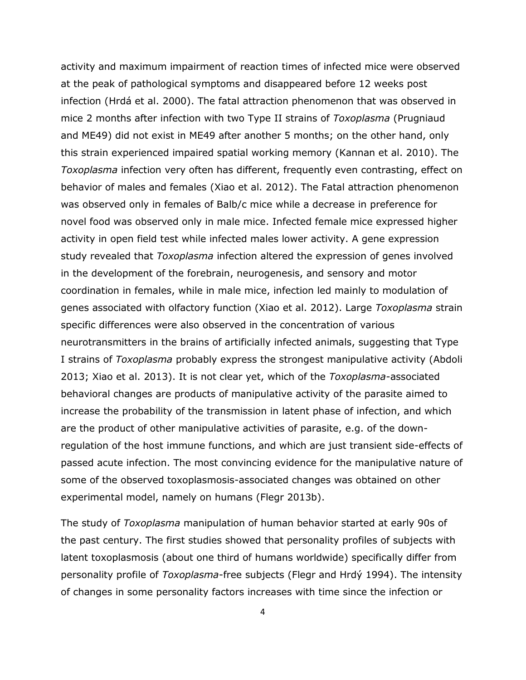activity and maximum impairment of reaction times of infected mice were observed at the peak of pathological symptoms and disappeared before 12 weeks post infection ([Hrdá et al. 2000](#page-11-6)). The fatal attraction phenomenon that was observed in mice 2 months after infection with two Type II strains of *Toxoplasma* (Prugniaud and ME49) did not exist in ME49 after another 5 months; on the other hand, only this strain experienced impaired spatial working memory [\(Kannan et al. 2010\)](#page-11-7). The *Toxoplasma* infection very often has different, frequently even contrasting, effect on behavior of males and females [\(Xiao et al. 2012\)](#page-12-6). The Fatal attraction phenomenon was observed only in females of Balb/c mice while a decrease in preference for novel food was observed only in male mice. Infected female mice expressed higher activity in open field test while infected males lower activity. A gene expression study revealed that *Toxoplasma* infection altered the expression of genes involved in the development of the forebrain, neurogenesis, and sensory and motor coordination in females, while in male mice, infection led mainly to modulation of genes associated with olfactory function [\(Xiao et al. 2012\)](#page-12-6). Large *Toxoplasma* strain specific differences were also observed in the concentration of various neurotransmitters in the brains of artificially infected animals, suggesting that Type I strains of *Toxoplasma* probably express the strongest manipulative activity [\(Abdoli](#page-9-2)  [2013;](#page-9-2) [Xiao et al. 2013\)](#page-12-7). It is not clear yet, which of the *Toxoplasma*-associated behavioral changes are products of manipulative activity of the parasite aimed to increase the probability of the transmission in latent phase of infection, and which are the product of other manipulative activities of parasite, e.g. of the downregulation of the host immune functions, and which are just transient side-effects of passed acute infection. The most convincing evidence for the manipulative nature of some of the observed toxoplasmosis-associated changes was obtained on other experimental model, namely on humans [\(Flegr 2013b\)](#page-10-1).

The study of *Toxoplasma* manipulation of human behavior started at early 90s of the past century. The first studies showed that personality profiles of subjects with latent toxoplasmosis (about one third of humans worldwide) specifically differ from personality profile of *Toxoplasma*-free subjects ([Flegr and Hrdý 1994](#page-10-2)). The intensity of changes in some personality factors increases with time since the infection or

4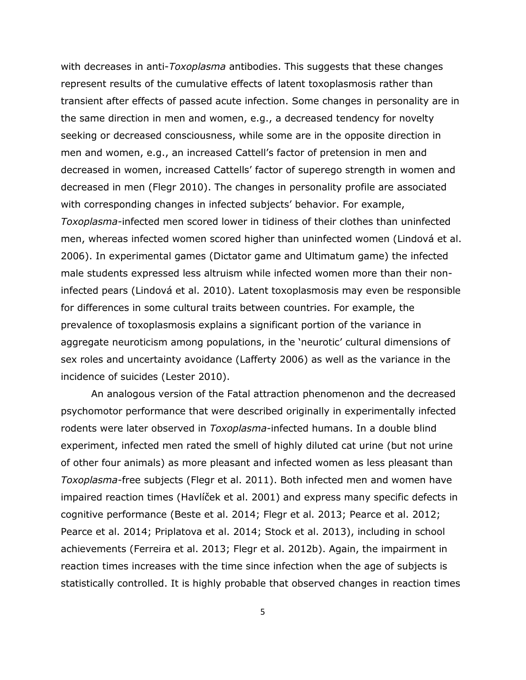with decreases in anti-*Toxoplasma* antibodies. This suggests that these changes represent results of the cumulative effects of latent toxoplasmosis rather than transient after effects of passed acute infection. Some changes in personality are in the same direction in men and women, e.g., a decreased tendency for novelty seeking or decreased consciousness, while some are in the opposite direction in men and women, e.g., an increased Cattell's factor of pretension in men and decreased in women, increased Cattells' factor of superego strength in women and decreased in men [\(Flegr 2010\)](#page-10-3). The changes in personality profile are associated with corresponding changes in infected subjects' behavior. For example, *Toxoplasma-*infected men scored lower in tidiness of their clothes than uninfected men, whereas infected women scored higher than uninfected women ([Lindová et al.](#page-11-8)  [2006\)](#page-11-8). In experimental games (Dictator game and Ultimatum game) the infected male students expressed less altruism while infected women more than their noninfected pears ([Lindová et al. 2010](#page-11-9)). Latent toxoplasmosis may even be responsible for differences in some cultural traits between countries. For example, the prevalence of toxoplasmosis explains a significant portion of the variance in aggregate neuroticism among populations, in the 'neurotic' cultural dimensions of sex roles and uncertainty avoidance [\(Lafferty 2006\)](#page-11-10) as well as the variance in the incidence of suicides [\(Lester 2010\)](#page-11-11).

An analogous version of the Fatal attraction phenomenon and the decreased psychomotor performance that were described originally in experimentally infected rodents were later observed in *Toxoplasma-*infected humans. In a double blind experiment, infected men rated the smell of highly diluted cat urine (but not urine of other four animals) as more pleasant and infected women as less pleasant than *Toxoplasma-*free subjects [\(Flegr et al. 2011\)](#page-10-4). Both infected men and women have impaired reaction times ([Havlíček et al. 2001](#page-10-5)) and express many specific defects in cognitive performance [\(Beste et al. 2014;](#page-10-6) [Flegr et al. 2013;](#page-10-7) [Pearce et al. 2012;](#page-12-8) [Pearce et al. 2014;](#page-12-9) [Priplatova et al. 2014;](#page-12-10) [Stock et al. 2013\)](#page-12-11), including in school achievements [\(Ferreira et al. 2013;](#page-10-8) [Flegr et al. 2012b\)](#page-10-9). Again, the impairment in reaction times increases with the time since infection when the age of subjects is statistically controlled. It is highly probable that observed changes in reaction times

5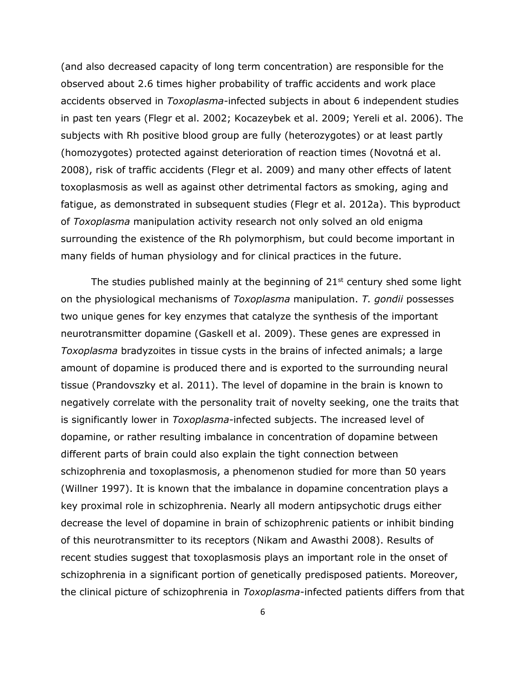(and also decreased capacity of long term concentration) are responsible for the observed about 2.6 times higher probability of traffic accidents and work place accidents observed in *Toxoplasma-*infected subjects in about 6 independent studies in past ten years [\(Flegr et al. 2002;](#page-10-10) [Kocazeybek et al. 2009;](#page-11-12) [Yereli et al. 2006\)](#page-12-12). The subjects with Rh positive blood group are fully (heterozygotes) or at least partly (homozygotes) protected against deterioration of reaction times ([Novotná et al.](#page-12-13)  [2008\)](#page-12-13), risk of traffic accidents [\(Flegr et al. 2009\)](#page-10-11) and many other effects of latent toxoplasmosis as well as against other detrimental factors as smoking, aging and fatigue, as demonstrated in subsequent studies [\(Flegr et al. 2012a\)](#page-10-12). This byproduct of *Toxoplasma* manipulation activity research not only solved an old enigma surrounding the existence of the Rh polymorphism, but could become important in many fields of human physiology and for clinical practices in the future.

The studies published mainly at the beginning of  $21<sup>st</sup>$  century shed some light on the physiological mechanisms of *Toxoplasma* manipulation. *T. gondii* possesses two unique genes for key enzymes that catalyze the synthesis of the important neurotransmitter dopamine [\(Gaskell et al. 2009\)](#page-10-13). These genes are expressed in *Toxoplasma* bradyzoites in tissue cysts in the brains of infected animals; a large amount of dopamine is produced there and is exported to the surrounding neural tissue [\(Prandovszky et al. 2011\)](#page-12-14). The level of dopamine in the brain is known to negatively correlate with the personality trait of novelty seeking, one the traits that is significantly lower in *Toxoplasma-*infected subjects. The increased level of dopamine, or rather resulting imbalance in concentration of dopamine between different parts of brain could also explain the tight connection between schizophrenia and toxoplasmosis, a phenomenon studied for more than 50 years [\(Willner 1997\)](#page-12-15). It is known that the imbalance in dopamine concentration plays a key proximal role in schizophrenia. Nearly all modern antipsychotic drugs either decrease the level of dopamine in brain of schizophrenic patients or inhibit binding of this neurotransmitter to its receptors [\(Nikam and Awasthi 2008\)](#page-11-13). Results of recent studies suggest that toxoplasmosis plays an important role in the onset of schizophrenia in a significant portion of genetically predisposed patients. Moreover, the clinical picture of schizophrenia in *Toxoplasma*-infected patients differs from that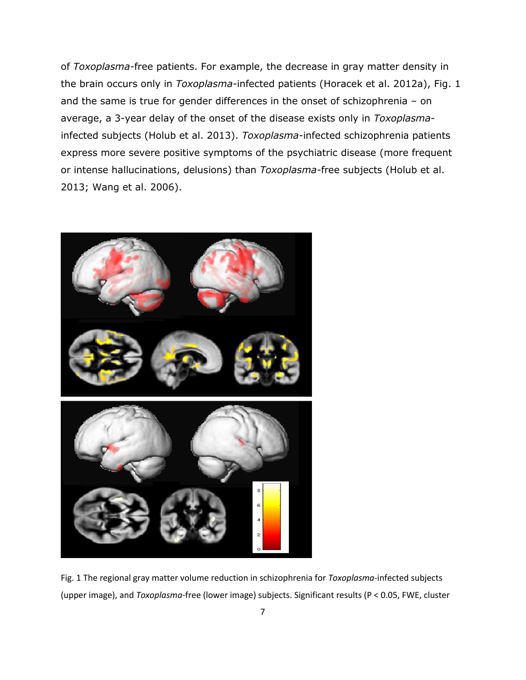of *Toxoplasma-*free patients. For example, the decrease in gray matter density in the brain occurs only in *Toxoplasma-*infected patients [\(Horacek et al. 2012a\)](#page-11-14), Fig. 1 and the same is true for gender differences in the onset of schizophrenia – on average, a 3-year delay of the onset of the disease exists only in *Toxoplasma*infected subjects [\(Holub et al. 2013\)](#page-11-15). *Toxoplasma-*infected schizophrenia patients express more severe positive symptoms of the psychiatric disease (more frequent or intense hallucinations, delusions) than *Toxoplasma-*free subjects [\(Holub et al.](#page-11-15)  [2013;](#page-11-15) [Wang et al. 2006\)](#page-12-16).



Fig. 1 The regional gray matter volume reduction in schizophrenia for *Toxoplasma*-infected subjects (upper image), and *Toxoplasma*-free (lower image) subjects. Significant results (P < 0.05, FWE, cluster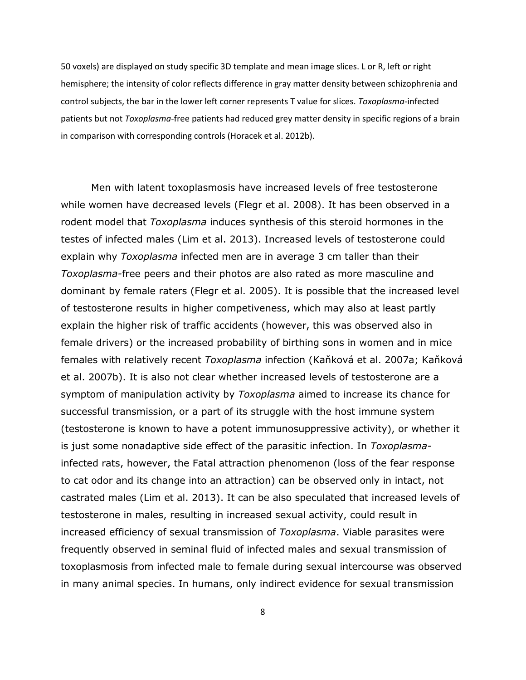50 voxels) are displayed on study specific 3D template and mean image slices. L or R, left or right hemisphere; the intensity of color reflects difference in gray matter density between schizophrenia and control subjects, the bar in the lower left corner represents T value for slices. *Toxoplasma*-infected patients but not *Toxoplasma*-free patients had reduced grey matter density in specific regions of a brain in comparison with corresponding controls [\(Horacek et al. 2012b\)](#page-11-16).

Men with latent toxoplasmosis have increased levels of free testosterone while women have decreased levels [\(Flegr et al. 2008\)](#page-10-14). It has been observed in a rodent model that *Toxoplasma* induces synthesis of this steroid hormones in the testes of infected males [\(Lim et al. 2013\)](#page-11-17). Increased levels of testosterone could explain why *Toxoplasma* infected men are in average 3 cm taller than their *Toxoplasma-*free peers and their photos are also rated as more masculine and dominant by female raters [\(Flegr et al. 2005\)](#page-10-15). It is possible that the increased level of testosterone results in higher competiveness, which may also at least partly explain the higher risk of traffic accidents (however, this was observed also in female drivers) or the increased probability of birthing sons in women and in mice females with relatively recent *Toxoplasma* infection ([Kaňková et al. 2007a](#page-11-18); [Kaňková](#page-11-19)  [et al. 2007b\)](#page-11-19). It is also not clear whether increased levels of testosterone are a symptom of manipulation activity by *Toxoplasma* aimed to increase its chance for successful transmission, or a part of its struggle with the host immune system (testosterone is known to have a potent immunosuppressive activity), or whether it is just some nonadaptive side effect of the parasitic infection. In *Toxoplasma*infected rats, however, the Fatal attraction phenomenon (loss of the fear response to cat odor and its change into an attraction) can be observed only in intact, not castrated males [\(Lim et al. 2013\)](#page-11-17). It can be also speculated that increased levels of testosterone in males, resulting in increased sexual activity, could result in increased efficiency of sexual transmission of *Toxoplasma*. Viable parasites were frequently observed in seminal fluid of infected males and sexual transmission of toxoplasmosis from infected male to female during sexual intercourse was observed in many animal species. In humans, only indirect evidence for sexual transmission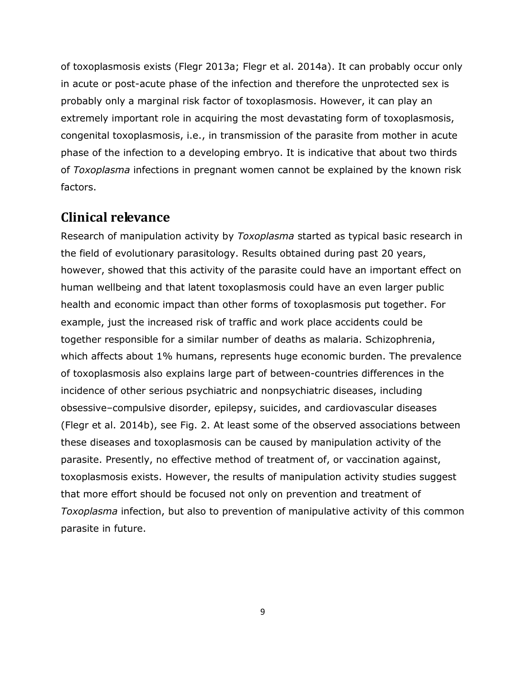of toxoplasmosis exists [\(Flegr 2013a;](#page-10-16) [Flegr et al. 2014a\)](#page-10-17). It can probably occur only in acute or post-acute phase of the infection and therefore the unprotected sex is probably only a marginal risk factor of toxoplasmosis. However, it can play an extremely important role in acquiring the most devastating form of toxoplasmosis, congenital toxoplasmosis, i.e., in transmission of the parasite from mother in acute phase of the infection to a developing embryo. It is indicative that about two thirds of *Toxoplasma* infections in pregnant women cannot be explained by the known risk factors.

## **Clinical relevance**

Research of manipulation activity by *Toxoplasma* started as typical basic research in the field of evolutionary parasitology. Results obtained during past 20 years, however, showed that this activity of the parasite could have an important effect on human wellbeing and that latent toxoplasmosis could have an even larger public health and economic impact than other forms of toxoplasmosis put together. For example, just the increased risk of traffic and work place accidents could be together responsible for a similar number of deaths as malaria. Schizophrenia, which affects about 1% humans, represents huge economic burden. The prevalence of toxoplasmosis also explains large part of between-countries differences in the incidence of other serious psychiatric and nonpsychiatric diseases, including obsessive–compulsive disorder, epilepsy, suicides, and cardiovascular diseases [\(Flegr et al. 2014b\)](#page-10-18), see Fig. 2. At least some of the observed associations between these diseases and toxoplasmosis can be caused by manipulation activity of the parasite. Presently, no effective method of treatment of, or vaccination against, toxoplasmosis exists. However, the results of manipulation activity studies suggest that more effort should be focused not only on prevention and treatment of *Toxoplasma* infection, but also to prevention of manipulative activity of this common parasite in future.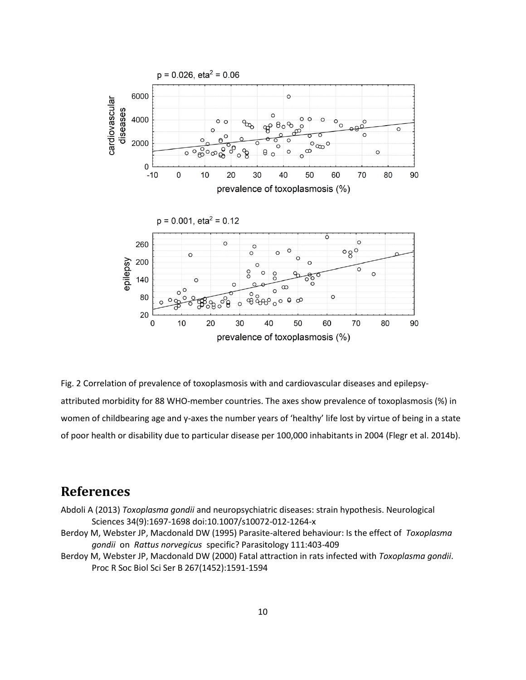

Fig. 2 Correlation of prevalence of toxoplasmosis with and cardiovascular diseases and epilepsyattributed morbidity for 88 WHO-member countries. The axes show prevalence of toxoplasmosis (%) in women of childbearing age and y-axes the number years of 'healthy' life lost by virtue of being in a state of poor health or disability due to particular disease per 100,000 inhabitants in 2004 [\(Flegr et al. 2014b\)](#page-10-18).

## **References**

- <span id="page-9-2"></span>Abdoli A (2013) *Toxoplasma gondii* and neuropsychiatric diseases: strain hypothesis. Neurological Sciences 34(9):1697-1698 doi:10.1007/s10072-012-1264-x
- <span id="page-9-0"></span>Berdoy M, Webster JP, Macdonald DW (1995) Parasite-altered behaviour: Is the effect of *Toxoplasma gondii* on *Rattus norvegicus* specific? Parasitology 111:403-409
- <span id="page-9-1"></span>Berdoy M, Webster JP, Macdonald DW (2000) Fatal attraction in rats infected with *Toxoplasma gondii*. Proc R Soc Biol Sci Ser B 267(1452):1591-1594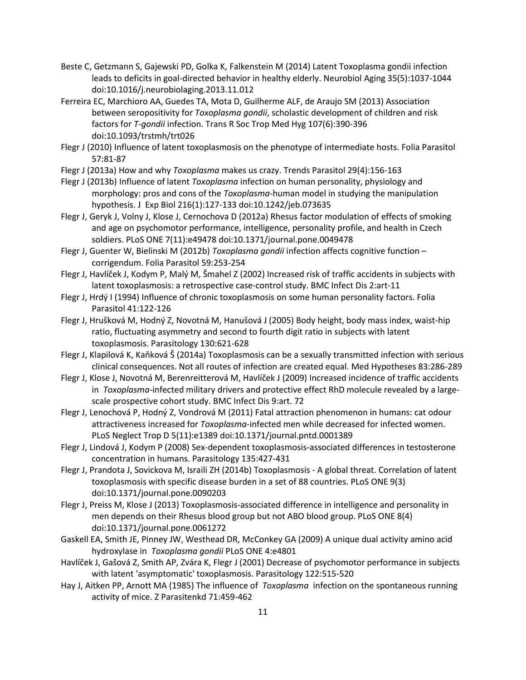- <span id="page-10-6"></span>Beste C, Getzmann S, Gajewski PD, Golka K, Falkenstein M (2014) Latent Toxoplasma gondii infection leads to deficits in goal-directed behavior in healthy elderly. Neurobiol Aging 35(5):1037-1044 doi:10.1016/j.neurobiolaging.2013.11.012
- <span id="page-10-8"></span>Ferreira EC, Marchioro AA, Guedes TA, Mota D, Guilherme ALF, de Araujo SM (2013) Association between seropositivity for *Toxoplasma gondii*, scholastic development of children and risk factors for *T-gondii* infection. Trans R Soc Trop Med Hyg 107(6):390-396 doi:10.1093/trstmh/trt026
- <span id="page-10-3"></span>Flegr J (2010) Influence of latent toxoplasmosis on the phenotype of intermediate hosts. Folia Parasitol 57:81-87
- <span id="page-10-16"></span>Flegr J (2013a) How and why *Toxoplasma* makes us crazy. Trends Parasitol 29(4):156-163
- <span id="page-10-1"></span>Flegr J (2013b) Influence of latent *Toxoplasma* infection on human personality, physiology and morphology: pros and cons of the *Toxoplasma*-human model in studying the manipulation hypothesis. J Exp Biol 216(1):127-133 doi:10.1242/jeb.073635
- <span id="page-10-12"></span>Flegr J, Geryk J, Volny J, Klose J, Cernochova D (2012a) Rhesus factor modulation of effects of smoking and age on psychomotor performance, intelligence, personality profile, and health in Czech soldiers. PLoS ONE 7(11):e49478 doi:10.1371/journal.pone.0049478
- <span id="page-10-9"></span>Flegr J, Guenter W, Bielinski M (2012b) *Toxoplasma gondii* infection affects cognitive function – corrigendum. Folia Parasitol 59:253-254
- <span id="page-10-10"></span>Flegr J, Havlíček J, Kodym P, Malý M, Šmahel Z (2002) Increased risk of traffic accidents in subjects with latent toxoplasmosis: a retrospective case-control study. BMC Infect Dis 2:art-11
- <span id="page-10-2"></span>Flegr J, Hrdý I (1994) Influence of chronic toxoplasmosis on some human personality factors. Folia Parasitol 41:122-126
- <span id="page-10-15"></span>Flegr J, Hrušková M, Hodný Z, Novotná M, Hanušová J (2005) Body height, body mass index, waist-hip ratio, fluctuating asymmetry and second to fourth digit ratio in subjects with latent toxoplasmosis. Parasitology 130:621-628
- <span id="page-10-17"></span>Flegr J, Klapilová K, Kaňková Š (2014a) Toxoplasmosis can be a sexually transmitted infection with serious clinical consequences. Not all routes of infection are created equal. Med Hypotheses 83:286-289
- <span id="page-10-11"></span>Flegr J, Klose J, Novotná M, Berenreitterová M, Havlíček J (2009) Increased incidence of traffic accidents in *Toxoplasma*-infected military drivers and protective effect RhD molecule revealed by a largescale prospective cohort study. BMC Infect Dis 9:art. 72
- <span id="page-10-4"></span>Flegr J, Lenochová P, Hodný Z, Vondrová M (2011) Fatal attraction phenomenon in humans: cat odour attractiveness increased for *Toxoplasma*-infected men while decreased for infected women. PLoS Neglect Trop D 5(11):e1389 doi:10.1371/journal.pntd.0001389
- <span id="page-10-14"></span>Flegr J, Lindová J, Kodym P (2008) Sex-dependent toxoplasmosis-associated differences in testosterone concentration in humans. Parasitology 135:427-431
- <span id="page-10-18"></span>Flegr J, Prandota J, Sovickova M, Israili ZH (2014b) Toxoplasmosis - A global threat. Correlation of latent toxoplasmosis with specific disease burden in a set of 88 countries. PLoS ONE 9(3) doi:10.1371/journal.pone.0090203
- <span id="page-10-7"></span>Flegr J, Preiss M, Klose J (2013) Toxoplasmosis-associated difference in intelligence and personality in men depends on their Rhesus blood group but not ABO blood group. PLoS ONE 8(4) doi:10.1371/journal.pone.0061272
- <span id="page-10-13"></span>Gaskell EA, Smith JE, Pinney JW, Westhead DR, McConkey GA (2009) A unique dual activity amino acid hydroxylase in *Toxoplasma gondii* PLoS ONE 4:e4801
- <span id="page-10-5"></span>Havlíček J, Gašová Z, Smith AP, Zvára K, Flegr J (2001) Decrease of psychomotor performance in subjects with latent 'asymptomatic' toxoplasmosis. Parasitology 122:515-520
- <span id="page-10-0"></span>Hay J, Aitken PP, Arnott MA (1985) The influence of *Toxoplasma* infection on the spontaneous running activity of mice. Z Parasitenkd 71:459-462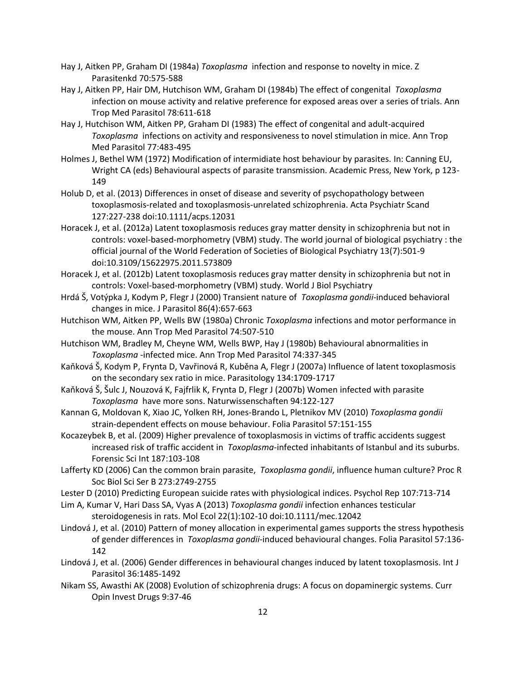- <span id="page-11-3"></span>Hay J, Aitken PP, Graham DI (1984a) *Toxoplasma* infection and response to novelty in mice. Z Parasitenkd 70:575-588
- <span id="page-11-1"></span>Hay J, Aitken PP, Hair DM, Hutchison WM, Graham DI (1984b) The effect of congenital *Toxoplasma*  infection on mouse activity and relative preference for exposed areas over a series of trials. Ann Trop Med Parasitol 78:611-618
- <span id="page-11-2"></span>Hay J, Hutchison WM, Aitken PP, Graham DI (1983) The effect of congenital and adult-acquired *Toxoplasma* infections on activity and responsiveness to novel stimulation in mice. Ann Trop Med Parasitol 77:483-495
- <span id="page-11-0"></span>Holmes J, Bethel WM (1972) Modification of intermidiate host behaviour by parasites. In: Canning EU, Wright CA (eds) Behavioural aspects of parasite transmission. Academic Press, New York, p 123- 149
- <span id="page-11-15"></span>Holub D, et al. (2013) Differences in onset of disease and severity of psychopathology between toxoplasmosis-related and toxoplasmosis-unrelated schizophrenia. Acta Psychiatr Scand 127:227-238 doi:10.1111/acps.12031
- <span id="page-11-14"></span>Horacek J, et al. (2012a) Latent toxoplasmosis reduces gray matter density in schizophrenia but not in controls: voxel-based-morphometry (VBM) study. The world journal of biological psychiatry : the official journal of the World Federation of Societies of Biological Psychiatry 13(7):501-9 doi:10.3109/15622975.2011.573809
- <span id="page-11-16"></span>Horacek J, et al. (2012b) Latent toxoplasmosis reduces gray matter density in schizophrenia but not in controls: Voxel-based-morphometry (VBM) study. World J Biol Psychiatry
- <span id="page-11-6"></span>Hrdá Š, Votýpka J, Kodym P, Flegr J (2000) Transient nature of *Toxoplasma gondii*-induced behavioral changes in mice. J Parasitol 86(4):657-663
- <span id="page-11-4"></span>Hutchison WM, Aitken PP, Wells BW (1980a) Chronic *Toxoplasma* infections and motor performance in the mouse. Ann Trop Med Parasitol 74:507-510
- <span id="page-11-5"></span>Hutchison WM, Bradley M, Cheyne WM, Wells BWP, Hay J (1980b) Behavioural abnormalities in *Toxoplasma* -infected mice. Ann Trop Med Parasitol 74:337-345
- <span id="page-11-18"></span>Kaňková Š, Kodym P, Frynta D, Vavřinová R, Kuběna A, Flegr J (2007a) Influence of latent toxoplasmosis on the secondary sex ratio in mice. Parasitology 134:1709-1717
- <span id="page-11-19"></span>Kaňková Š, Šulc J, Nouzová K, Fajfrlik K, Frynta D, Flegr J (2007b) Women infected with parasite *Toxoplasma* have more sons. Naturwissenschaften 94:122-127
- <span id="page-11-7"></span>Kannan G, Moldovan K, Xiao JC, Yolken RH, Jones-Brando L, Pletnikov MV (2010) *Toxoplasma gondii*  strain-dependent effects on mouse behaviour. Folia Parasitol 57:151-155
- <span id="page-11-12"></span>Kocazeybek B, et al. (2009) Higher prevalence of toxoplasmosis in victims of traffic accidents suggest increased risk of traffic accident in *Toxoplasma*-infected inhabitants of Istanbul and its suburbs. Forensic Sci Int 187:103-108
- <span id="page-11-10"></span>Lafferty KD (2006) Can the common brain parasite, *Toxoplasma gondii*, influence human culture? Proc R Soc Biol Sci Ser B 273:2749-2755
- <span id="page-11-11"></span>Lester D (2010) Predicting European suicide rates with physiological indices. Psychol Rep 107:713-714
- <span id="page-11-17"></span>Lim A, Kumar V, Hari Dass SA, Vyas A (2013) *Toxoplasma gondii* infection enhances testicular steroidogenesis in rats. Mol Ecol 22(1):102-10 doi:10.1111/mec.12042
- <span id="page-11-9"></span>Lindová J, et al. (2010) Pattern of money allocation in experimental games supports the stress hypothesis of gender differences in *Toxoplasma gondii*-induced behavioural changes. Folia Parasitol 57:136- 142
- <span id="page-11-8"></span>Lindová J, et al. (2006) Gender differences in behavioural changes induced by latent toxoplasmosis. Int J Parasitol 36:1485-1492
- <span id="page-11-13"></span>Nikam SS, Awasthi AK (2008) Evolution of schizophrenia drugs: A focus on dopaminergic systems. Curr Opin Invest Drugs 9:37-46